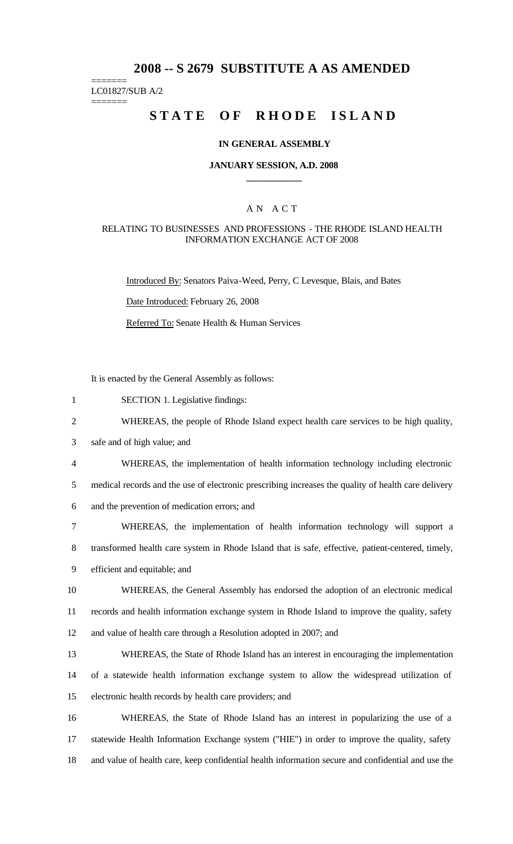# **2008 -- S 2679 SUBSTITUTE A AS AMENDED**

======= LC01827/SUB A/2

=======

# **STATE OF RHODE ISLAND**

#### **IN GENERAL ASSEMBLY**

#### **JANUARY SESSION, A.D. 2008 \_\_\_\_\_\_\_\_\_\_\_\_**

### A N A C T

#### RELATING TO BUSINESSES AND PROFESSIONS - THE RHODE ISLAND HEALTH INFORMATION EXCHANGE ACT OF 2008

Introduced By: Senators Paiva-Weed, Perry, C Levesque, Blais, and Bates

Date Introduced: February 26, 2008

Referred To: Senate Health & Human Services

It is enacted by the General Assembly as follows:

- 1 SECTION 1. Legislative findings:
- 2 WHEREAS, the people of Rhode Island expect health care services to be high quality,

3 safe and of high value; and

4 WHEREAS, the implementation of health information technology including electronic

5 medical records and the use of electronic prescribing increases the quality of health care delivery

6 and the prevention of medication errors; and

7 WHEREAS, the implementation of health information technology will support a 8 transformed health care system in Rhode Island that is safe, effective, patient-centered, timely, 9 efficient and equitable; and

10 WHEREAS, the General Assembly has endorsed the adoption of an electronic medical 11 records and health information exchange system in Rhode Island to improve the quality, safety 12 and value of health care through a Resolution adopted in 2007; and

13 WHEREAS, the State of Rhode Island has an interest in encouraging the implementation 14 of a statewide health information exchange system to allow the widespread utilization of 15 electronic health records by health care providers; and

16 WHEREAS, the State of Rhode Island has an interest in popularizing the use of a 17 statewide Health Information Exchange system ("HIE") in order to improve the quality, safety 18 and value of health care, keep confidential health information secure and confidential and use the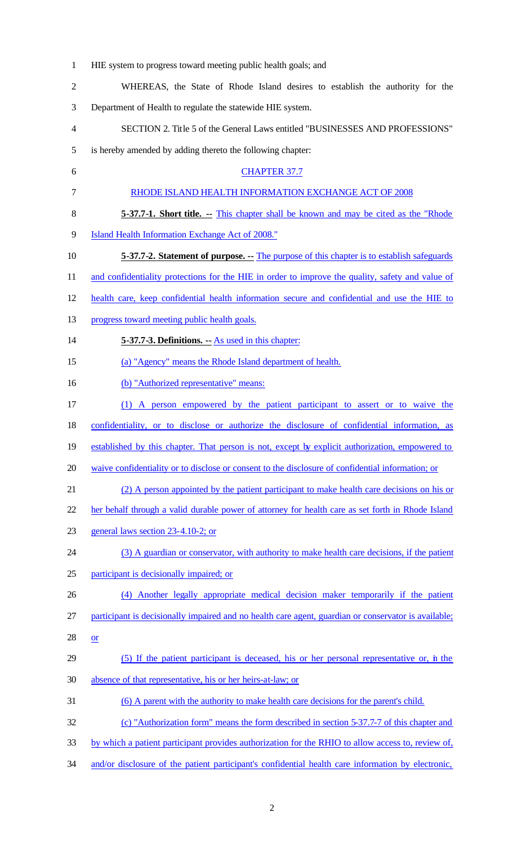| $\mathbf{1}$   | HIE system to progress toward meeting public health goals; and                                       |
|----------------|------------------------------------------------------------------------------------------------------|
| $\mathbf{2}$   | WHEREAS, the State of Rhode Island desires to establish the authority for the                        |
| 3              | Department of Health to regulate the statewide HIE system.                                           |
| $\overline{4}$ | SECTION 2. Title 5 of the General Laws entitled "BUSINESSES AND PROFESSIONS"                         |
| 5              | is hereby amended by adding thereto the following chapter:                                           |
| 6              | <b>CHAPTER 37.7</b>                                                                                  |
| 7              | RHODE ISLAND HEALTH INFORMATION EXCHANGE ACT OF 2008                                                 |
| $8\,$          | 5-37.7-1. Short title. -- This chapter shall be known and may be cited as the "Rhode"                |
| 9              | Island Health Information Exchange Act of 2008."                                                     |
| 10             | 5-37.7-2. Statement of purpose. -- The purpose of this chapter is to establish safeguards            |
| 11             | and confidentiality protections for the HIE in order to improve the quality, safety and value of     |
| 12             | health care, keep confidential health information secure and confidential and use the HIE to         |
| 13             | progress toward meeting public health goals.                                                         |
| 14             | 5-37.7-3. Definitions. - As used in this chapter:                                                    |
| 15             | (a) "Agency" means the Rhode Island department of health.                                            |
| 16             | (b) "Authorized representative" means:                                                               |
| 17             | (1) A person empowered by the patient participant to assert or to waive the                          |
| 18             | confidentiality, or to disclose or authorize the disclosure of confidential information, as          |
| 19             | established by this chapter. That person is not, except by explicit authorization, empowered to      |
|                |                                                                                                      |
| 20             | waive confidentiality or to disclose or consent to the disclosure of confidential information; or    |
| 21             | (2) A person appointed by the patient participant to make health care decisions on his or            |
| 22             | her behalf through a valid durable power of attorney for health care as set forth in Rhode Island    |
| 23             | general laws section 23-4.10-2; or                                                                   |
| 24             | (3) A guardian or conservator, with authority to make health care decisions, if the patient          |
| 25             | participant is decisionally impaired; or                                                             |
| 26             | (4) Another legally appropriate medical decision maker temporarily if the patient                    |
| 27             | participant is decisionally impaired and no health care agent, guardian or conservator is available; |
| 28             | $or$                                                                                                 |
| 29             | (5) If the patient participant is deceased, his or her personal representative or, in the            |
| 30             | absence of that representative, his or her heirs-at-law; or                                          |
| 31             | (6) A parent with the authority to make health care decisions for the parent's child.                |
| 32             | (c) "Authorization form" means the form described in section 5-37.7-7 of this chapter and            |
| 33             | by which a patient participant provides authorization for the RHIO to allow access to, review of,    |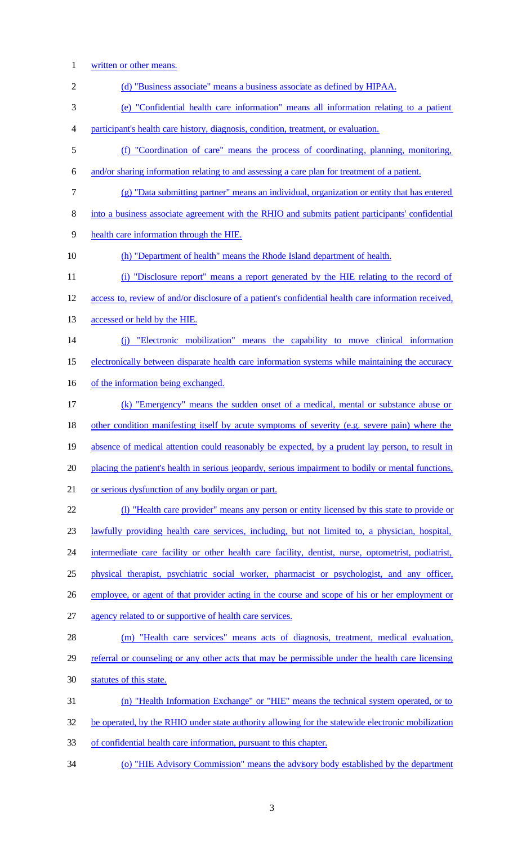- written or other means. (d) "Business associate" means a business associate as defined by HIPAA. (e) "Confidential health care information" means all information relating to a patient participant's health care history, diagnosis, condition, treatment, or evaluation. (f) "Coordination of care" means the process of coordinating, planning, monitoring, and/or sharing information relating to and assessing a care plan for treatment of a patient. (g) "Data submitting partner" means an individual, organization or entity that has entered into a business associate agreement with the RHIO and submits patient participants' confidential health care information through the HIE. (h) "Department of health" means the Rhode Island department of health. (i) "Disclosure report" means a report generated by the HIE relating to the record of access to, review of and/or disclosure of a patient's confidential health care information received, accessed or held by the HIE. (j) "Electronic mobilization" means the capability to move clinical information 15 electronically between disparate health care information systems while maintaining the accuracy 16 of the information being exchanged. (k) "Emergency" means the sudden onset of a medical, mental or substance abuse or other condition manifesting itself by acute symptoms of severity (e.g. severe pain) where the 19 absence of medical attention could reasonably be expected, by a prudent lay person, to result in placing the patient's health in serious jeopardy, serious impairment to bodily or mental functions, or serious dysfunction of any bodily organ or part. (l) "Health care provider" means any person or entity licensed by this state to provide or lawfully providing health care services, including, but not limited to, a physician, hospital, intermediate care facility or other health care facility, dentist, nurse, optometrist, podiatrist, physical therapist, psychiatric social worker, pharmacist or psychologist, and any officer, employee, or agent of that provider acting in the course and scope of his or her employment or agency related to or supportive of health care services. (m) "Health care services" means acts of diagnosis, treatment, medical evaluation, 29 referral or counseling or any other acts that may be permissible under the health care licensing statutes of this state. (n) "Health Information Exchange" or "HIE" means the technical system operated, or to be operated, by the RHIO under state authority allowing for the statewide electronic mobilization of confidential health care information, pursuant to this chapter.
- (o) "HIE Advisory Commission" means the advisory body established by the department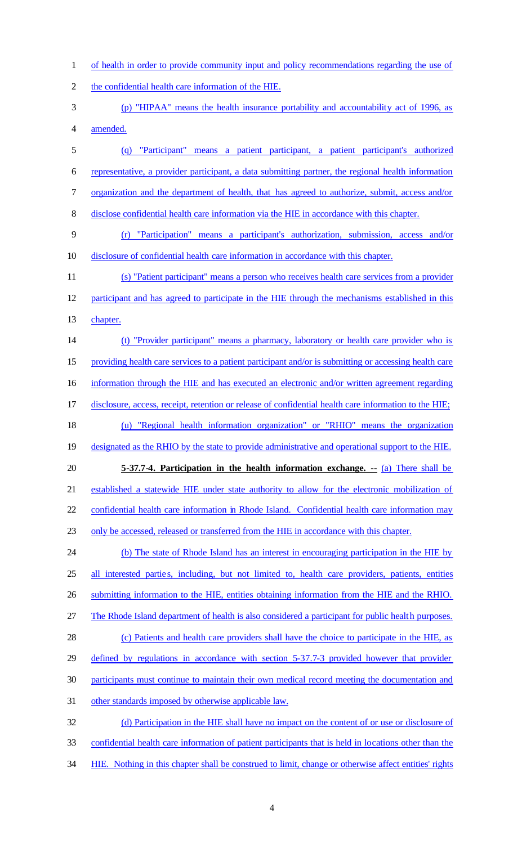of health in order to provide community input and policy recommendations regarding the use of

the confidential health care information of the HIE.

 (p) "HIPAA" means the health insurance portability and accountability act of 1996, as amended.

 (q) "Participant" means a patient participant, a patient participant's authorized representative, a provider participant, a data submitting partner, the regional health information organization and the department of health, that has agreed to authorize, submit, access and/or disclose confidential health care information via the HIE in accordance with this chapter.

 (r) "Participation" means a participant's authorization, submission, access and/or disclosure of confidential health care information in accordance with this chapter.

 (s) "Patient participant" means a person who receives health care services from a provider participant and has agreed to participate in the HIE through the mechanisms established in this 13 chapter.

(t) "Provider participant" means a pharmacy, laboratory or health care provider who is

providing health care services to a patient participant and/or is submitting or accessing health care

16 information through the HIE and has executed an electronic and/or written agreement regarding

disclosure, access, receipt, retention or release of confidential health care information to the HIE;

(u) "Regional health information organization" or "RHIO" means the organization

19 designated as the RHIO by the state to provide administrative and operational support to the HIE.

**5-37.7-4. Participation in the health information exchange. --** (a) There shall be

established a statewide HIE under state authority to allow for the electronic mobilization of

confidential health care information in Rhode Island. Confidential health care information may

only be accessed, released or transferred from the HIE in accordance with this chapter.

 (b) The state of Rhode Island has an interest in encouraging participation in the HIE by 25 all interested parties, including, but not limited to, health care providers, patients, entities 26 submitting information to the HIE, entities obtaining information from the HIE and the RHIO. The Rhode Island department of health is also considered a participant for public health purposes.

 (c) Patients and health care providers shall have the choice to participate in the HIE, as defined by regulations in accordance with section 5-37.7-3 provided however that provider

participants must continue to maintain their own medical record meeting the documentation and

other standards imposed by otherwise applicable law.

 (d) Participation in the HIE shall have no impact on the content of or use or disclosure of confidential health care information of patient participants that is held in locations other than the HIE. Nothing in this chapter shall be construed to limit, change or otherwise affect entities' rights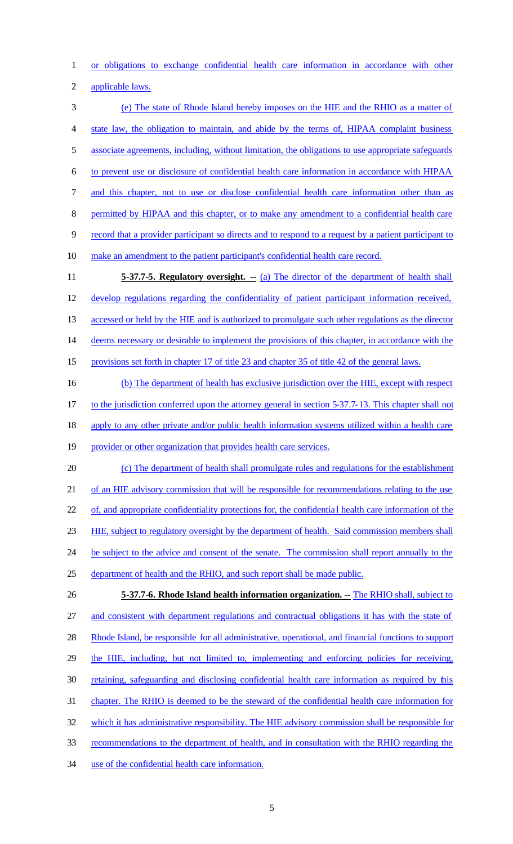or obligations to exchange confidential health care information in accordance with other

applicable laws.

 (e) The state of Rhode Island hereby imposes on the HIE and the RHIO as a matter of state law, the obligation to maintain, and abide by the terms of, HIPAA complaint business associate agreements, including, without limitation, the obligations to use appropriate safeguards to prevent use or disclosure of confidential health care information in accordance with HIPAA and this chapter, not to use or disclose confidential health care information other than as 8 permitted by HIPAA and this chapter, or to make any amendment to a confidential health care record that a provider participant so directs and to respond to a request by a patient participant to make an amendment to the patient participant's confidential health care record. **5-37.7-5. Regulatory oversight.** -- (a) The director of the department of health shall 12 develop regulations regarding the confidentiality of patient participant information received, 13 accessed or held by the HIE and is authorized to promulgate such other regulations as the director 14 deems necessary or desirable to implement the provisions of this chapter, in accordance with the provisions set forth in chapter 17 of title 23 and chapter 35 of title 42 of the general laws. (b) The department of health has exclusive jurisdiction over the HIE, except with respect to the jurisdiction conferred upon the attorney general in section 5-37.7-13. This chapter shall not apply to any other private and/or public health information systems utilized within a health care provider or other organization that provides health care services. (c) The department of health shall promulgate rules and regulations for the establishment 21 of an HIE advisory commission that will be responsible for recommendations relating to the use of, and appropriate confidentiality protections for, the confidentia l health care information of the HIE, subject to regulatory oversight by the department of health. Said commission members shall 24 be subject to the advice and consent of the senate. The commission shall report annually to the department of health and the RHIO, and such report shall be made public. **5-37.7-6. Rhode Island health information organization. --** The RHIO shall, subject to and consistent with department regulations and contractual obligations it has with the state of 28 Rhode Island, be responsible for all administrative, operational, and financial functions to support 29 the HIE, including, but not limited to, implementing and enforcing policies for receiving, retaining, safeguarding and disclosing confidential health care information as required by this chapter. The RHIO is deemed to be the steward of the confidential health care information for which it has administrative responsibility. The HIE advisory commission shall be responsible for recommendations to the department of health, and in consultation with the RHIO regarding the use of the confidential health care information.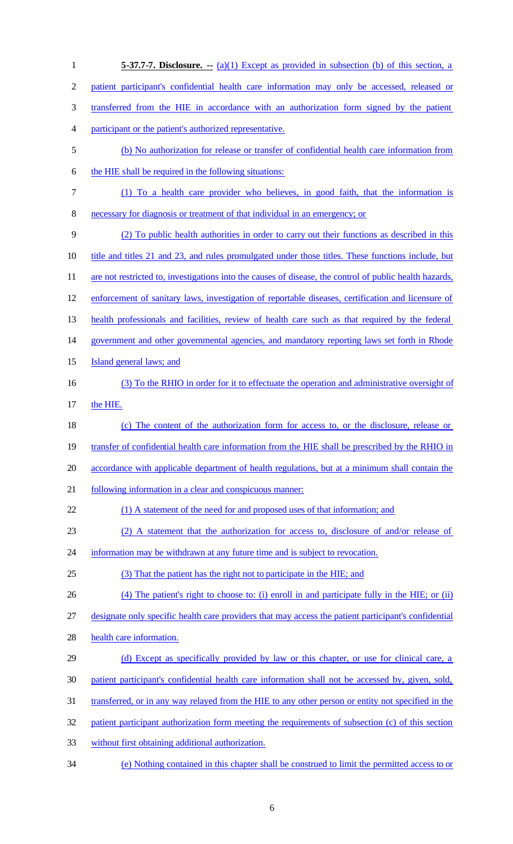| $\mathbf{1}$   | 5-37.7-7. Disclosure. $\cdot$ (a)(1) Except as provided in subsection (b) of this section, a            |
|----------------|---------------------------------------------------------------------------------------------------------|
| $\overline{2}$ | patient participant's confidential health care information may only be accessed, released or            |
| 3              | transferred from the HIE in accordance with an authorization form signed by the patient                 |
| 4              | participant or the patient's authorized representative.                                                 |
| 5              | (b) No authorization for release or transfer of confidential health care information from               |
| 6              | the HIE shall be required in the following situations:                                                  |
| 7              | (1) To a health care provider who believes, in good faith, that the information is                      |
| 8              | necessary for diagnosis or treatment of that individual in an emergency; or                             |
| 9              | (2) To public health authorities in order to carry out their functions as described in this             |
| 10             | title and titles 21 and 23, and rules promulgated under those titles. These functions include, but      |
| 11             | are not restricted to, investigations into the causes of disease, the control of public health hazards, |
| 12             | enforcement of sanitary laws, investigation of reportable diseases, certification and licensure of      |
| 13             | health professionals and facilities, review of health care such as that required by the federal         |
| 14             | government and other governmental agencies, and mandatory reporting laws set forth in Rhode             |
| 15             | Island general laws; and                                                                                |
| 16             | (3) To the RHIO in order for it to effectuate the operation and administrative oversight of             |
| 17             | the HIE.                                                                                                |
| 18             | (c) The content of the authorization form for access to, or the disclosure, release or                  |
| 19             | transfer of confidential health care information from the HIE shall be prescribed by the RHIO in        |
| 20             | accordance with applicable department of health regulations, but at a minimum shall contain the         |
| 21             | following information in a clear and conspicuous manner:                                                |
| 22             | (1) A statement of the need for and proposed uses of that information; and                              |
| 23             | (2) A statement that the authorization for access to, disclosure of and/or release of                   |
| 24             | information may be withdrawn at any future time and is subject to revocation.                           |
| 25             | (3) That the patient has the right not to participate in the HIE; and                                   |
| 26             | (4) The patient's right to choose to: (i) enroll in and participate fully in the HIE; or (ii)           |
| 27             | designate only specific health care providers that may access the patient participant's confidential    |
| 28             | health care information.                                                                                |
| 29             | (d) Except as specifically provided by law or this chapter, or use for clinical care, a                 |
| 30             | patient participant's confidential health care information shall not be accessed by, given, sold,       |
| 31             | transferred, or in any way relayed from the HIE to any other person or entity not specified in the      |
| 32             | patient participant authorization form meeting the requirements of subsection (c) of this section       |
| 33             | without first obtaining additional authorization.                                                       |
| 34             | (e) Nothing contained in this chapter shall be construed to limit the permitted access to or            |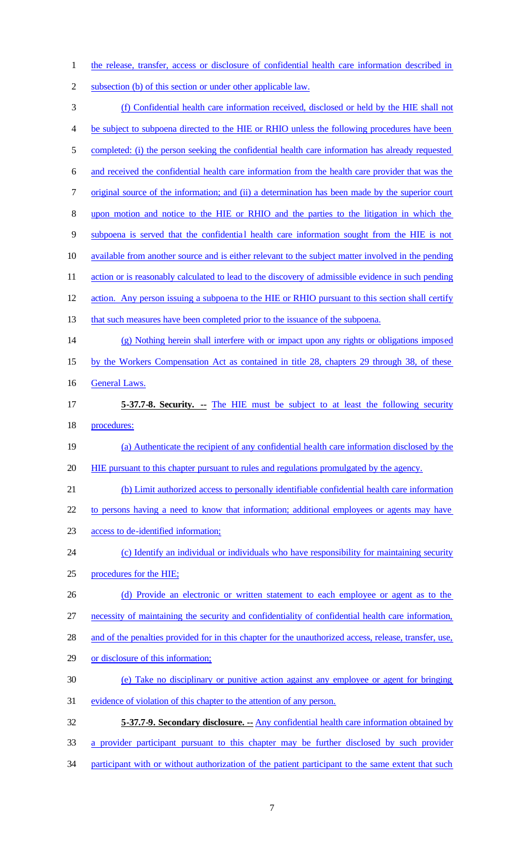1 the release, transfer, access or disclosure of confidential health care information described in

subsection (b) of this section or under other applicable law.

 (f) Confidential health care information received, disclosed or held by the HIE shall not be subject to subpoena directed to the HIE or RHIO unless the following procedures have been 5 completed: (i) the person seeking the confidential health care information has already requested and received the confidential health care information from the health care provider that was the original source of the information; and (ii) a determination has been made by the superior court upon motion and notice to the HIE or RHIO and the parties to the litigation in which the 9 subpoena is served that the confidential health care information sought from the HIE is not 10 available from another source and is either relevant to the subject matter involved in the pending 11 action or is reasonably calculated to lead to the discovery of admissible evidence in such pending 12 action. Any person issuing a subpoena to the HIE or RHIO pursuant to this section shall certify 13 that such measures have been completed prior to the issuance of the subpoena. (g) Nothing herein shall interfere with or impact upon any rights or obligations imposed by the Workers Compensation Act as contained in title 28, chapters 29 through 38, of these General Laws. **5-37.7-8. Security. --** The HIE must be subject to at least the following security procedures: (a) Authenticate the recipient of any confidential health care information disclosed by the HIE pursuant to this chapter pursuant to rules and regulations promulgated by the agency. (b) Limit authorized access to personally identifiable confidential health care information to persons having a need to know that information; additional employees or agents may have access to de-identified information; (c) Identify an individual or individuals who have responsibility for maintaining security procedures for the HIE; (d) Provide an electronic or written statement to each employee or agent as to the necessity of maintaining the security and confidentiality of confidential health care information, 28 and of the penalties provided for in this chapter for the unauthorized access, release, transfer, use, or disclosure of this information; (e) Take no disciplinary or punitive action against any employee or agent for bringing evidence of violation of this chapter to the attention of any person. **5-37.7-9. Secondary disclosure. --** Any confidential health care information obtained by a provider participant pursuant to this chapter may be further disclosed by such provider participant with or without authorization of the patient participant to the same extent that such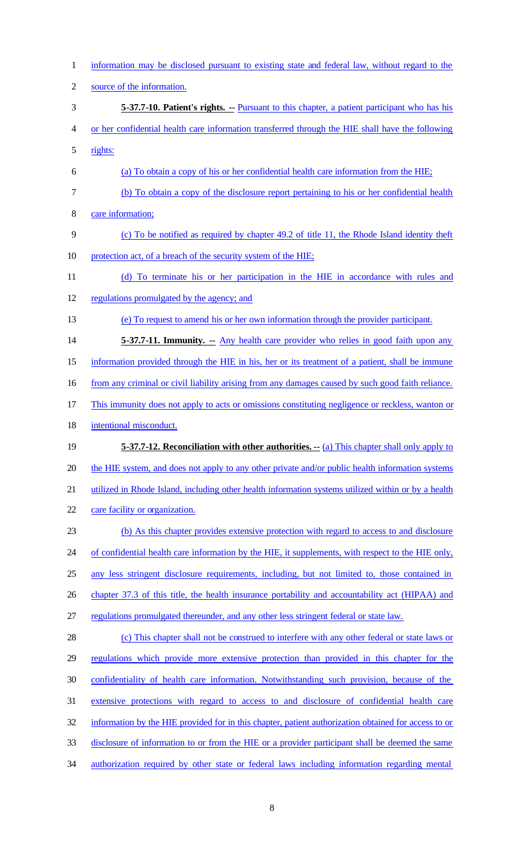information may be disclosed pursuant to existing state and federal law, without regard to the source of the information. **5-37.7-10. Patient's rights. --** Pursuant to this chapter, a patient participant who has his or her confidential health care information transferred through the HIE shall have the following 5 rights: (a) To obtain a copy of his or her confidential health care information from the HIE; (b) To obtain a copy of the disclosure report pertaining to his or her confidential health care information; (c) To be notified as required by chapter 49.2 of title 11, the Rhode Island identity theft 10 protection act, of a breach of the security system of the HIE; (d) To terminate his or her participation in the HIE in accordance with rules and regulations promulgated by the agency; and (e) To request to amend his or her own information through the provider participant. **5-37.7-11. Immunity.** -- Any health care provider who relies in good faith upon any information provided through the HIE in his, her or its treatment of a patient, shall be immune 16 from any criminal or civil liability arising from any damages caused by such good faith reliance. This immunity does not apply to acts or omissions constituting negligence or reckless, wanton or intentional misconduct. **5-37.7-12. Reconciliation with other authorities. --** (a) This chapter shall only apply to 20 the HIE system, and does not apply to any other private and/or public health information systems utilized in Rhode Island, including other health information systems utilized within or by a health care facility or organization. (b) As this chapter provides extensive protection with regard to access to and disclosure 24 of confidential health care information by the HIE, it supplements, with respect to the HIE only, any less stringent disclosure requirements, including, but not limited to, those contained in chapter 37.3 of this title, the health insurance portability and accountability act (HIPAA) and regulations promulgated thereunder, and any other less stringent federal or state law. (c) This chapter shall not be construed to interfere with any other federal or state laws or regulations which provide more extensive protection than provided in this chapter for the confidentiality of health care information. Notwithstanding such provision, because of the extensive protections with regard to access to and disclosure of confidential health care information by the HIE provided for in this chapter, patient authorization obtained for access to or disclosure of information to or from the HIE or a provider participant shall be deemed the same authorization required by other state or federal laws including information regarding mental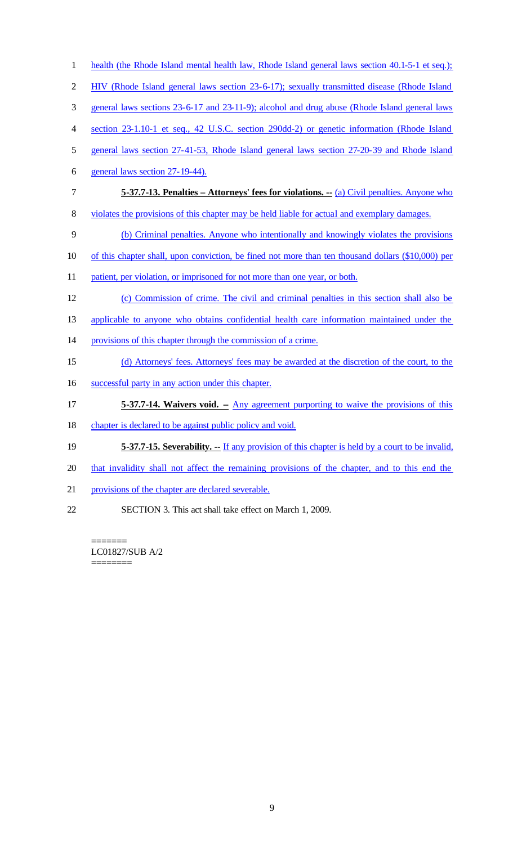| $\mathbf{1}$   | health (the Rhode Island mental health law, Rhode Island general laws section 40.1-5-1 et seq.);   |
|----------------|----------------------------------------------------------------------------------------------------|
| $\overline{2}$ | HIV (Rhode Island general laws section 23-6-17); sexually transmitted disease (Rhode Island        |
| 3              | general laws sections 23-6-17 and 23-11-9); alcohol and drug abuse (Rhode Island general laws      |
| $\overline{4}$ | section 23-1.10-1 et seq., 42 U.S.C. section 290dd-2) or genetic information (Rhode Island         |
| 5              | general laws section 27-41-53, Rhode Island general laws section 27-20-39 and Rhode Island         |
| 6              | general laws section 27-19-44).                                                                    |
| $\tau$         | 5-37.7-13. Penalties – Attorneys' fees for violations. -- (a) Civil penalties. Anyone who          |
| $8\,$          | violates the provisions of this chapter may be held liable for actual and exemplary damages.       |
| 9              | (b) Criminal penalties. Anyone who intentionally and knowingly violates the provisions             |
| 10             | of this chapter shall, upon conviction, be fined not more than ten thousand dollars (\$10,000) per |
| 11             | patient, per violation, or imprisoned for not more than one year, or both.                         |
| 12             | (c) Commission of crime. The civil and criminal penalties in this section shall also be            |
| 13             | applicable to anyone who obtains confidential health care information maintained under the         |
| 14             | provisions of this chapter through the commission of a crime.                                      |
| 15             | (d) Attorneys' fees. Attorneys' fees may be awarded at the discretion of the court, to the         |
| 16             | successful party in any action under this chapter.                                                 |
| 17             | 5-37.7-14. Waivers void. - Any agreement purporting to waive the provisions of this                |
| 18             | chapter is declared to be against public policy and void.                                          |
| 19             | 5-37.7-15. Severability. -- If any provision of this chapter is held by a court to be invalid,     |
| 20             | that invalidity shall not affect the remaining provisions of the chapter, and to this end the      |
| 21             | provisions of the chapter are declared severable.                                                  |

SECTION 3. This act shall take effect on March 1, 2009.

======= LC01827/SUB A/2 ========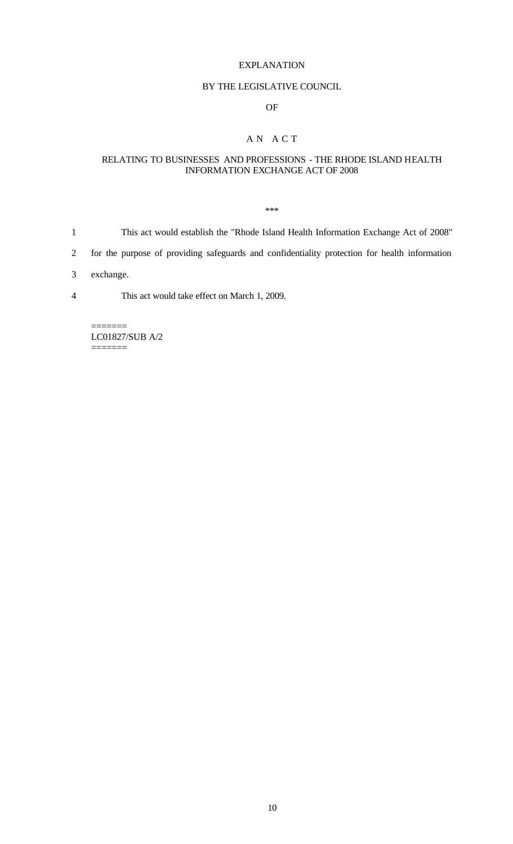#### EXPLANATION

### BY THE LEGISLATIVE COUNCIL

### OF

# A N A C T

### RELATING TO BUSINESSES AND PROFESSIONS - THE RHODE ISLAND HEALTH INFORMATION EXCHANGE ACT OF 2008

\*\*\*

- 1 This act would establish the "Rhode Island Health Information Exchange Act of 2008"
- 2 for the purpose of providing safeguards and confidentiality protection for health information
- 3 exchange.
- 4 This act would take effect on March 1, 2009.

======= LC01827/SUB A/2 =======